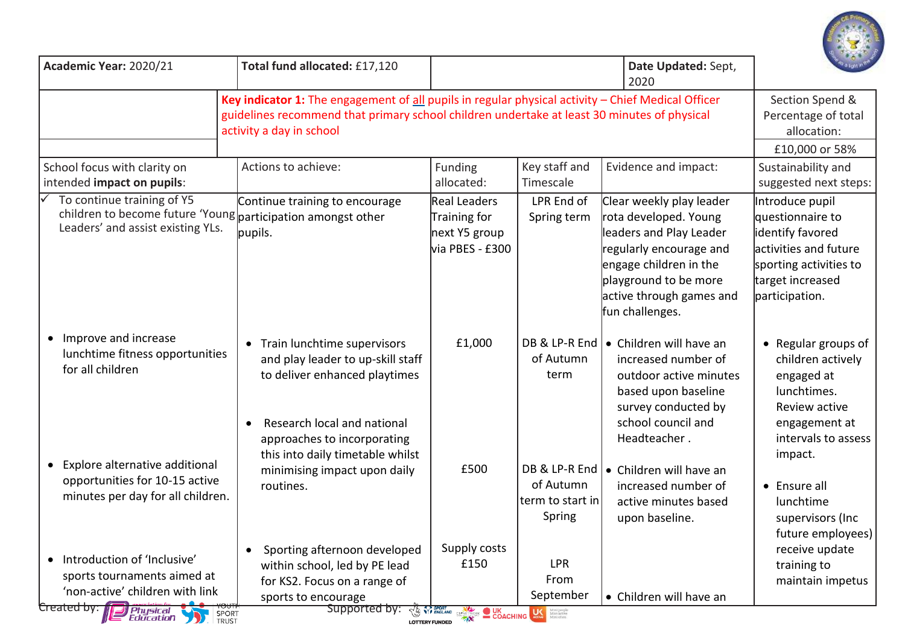

| Academic Year: 2020/21                                                                                                                                                        | Total fund allocated: £17,120                                                                                                                                                                                                 |                                                                                                                                                                                                                                                              |                                                          | Date Updated: Sept,<br>2020                                                                                                                                                                               |                                                                                                                                                  |
|-------------------------------------------------------------------------------------------------------------------------------------------------------------------------------|-------------------------------------------------------------------------------------------------------------------------------------------------------------------------------------------------------------------------------|--------------------------------------------------------------------------------------------------------------------------------------------------------------------------------------------------------------------------------------------------------------|----------------------------------------------------------|-----------------------------------------------------------------------------------------------------------------------------------------------------------------------------------------------------------|--------------------------------------------------------------------------------------------------------------------------------------------------|
|                                                                                                                                                                               | Key indicator 1: The engagement of all pupils in regular physical activity - Chief Medical Officer<br>guidelines recommend that primary school children undertake at least 30 minutes of physical<br>activity a day in school |                                                                                                                                                                                                                                                              |                                                          |                                                                                                                                                                                                           | Section Spend &<br>Percentage of total<br>allocation:<br>£10,000 or 58%                                                                          |
| School focus with clarity on<br>intended impact on pupils:                                                                                                                    | Actions to achieve:                                                                                                                                                                                                           | Funding<br>allocated:                                                                                                                                                                                                                                        | Key staff and<br>Timescale                               | Evidence and impact:                                                                                                                                                                                      | Sustainability and<br>suggested next steps:                                                                                                      |
| To continue training of Y5<br>children to become future 'Young participation amongst other<br>Leaders' and assist existing YLs.                                               | Continue training to encourage<br>pupils.                                                                                                                                                                                     | <b>Real Leaders</b><br>Training for<br>next Y5 group<br>via PBES - £300                                                                                                                                                                                      | LPR End of<br>Spring term                                | Clear weekly play leader<br>rota developed. Young<br>leaders and Play Leader<br>regularly encourage and<br>engage children in the<br>playground to be more<br>active through games and<br>fun challenges. | Introduce pupil<br>questionnaire to<br>identify favored<br>activities and future<br>sporting activities to<br>target increased<br>participation. |
| Improve and increase<br>$\bullet$<br>lunchtime fitness opportunities<br>for all children                                                                                      | • Train lunchtime supervisors<br>and play leader to up-skill staff<br>to deliver enhanced playtimes                                                                                                                           | £1,000                                                                                                                                                                                                                                                       | DB & LP-R End<br>of Autumn<br>term                       | • Children will have an<br>increased number of<br>outdoor active minutes<br>based upon baseline<br>survey conducted by                                                                                    | • Regular groups of<br>children actively<br>engaged at<br>lunchtimes.<br>Review active                                                           |
| Explore alternative additional<br>$\bullet$<br>opportunities for 10-15 active<br>minutes per day for all children.                                                            | Research local and national<br>approaches to incorporating<br>this into daily timetable whilst<br>minimising impact upon daily<br>routines.                                                                                   | £500                                                                                                                                                                                                                                                         | DB & LP-R End<br>of Autumn<br>term to start in<br>Spring | school council and<br>Headteacher.<br>• Children will have an<br>increased number of<br>active minutes based<br>upon baseline.                                                                            | engagement at<br>intervals to assess<br>impact.<br>• Ensure all<br>lunchtime<br>supervisors (Inc<br>future employees)                            |
| Introduction of 'Inclusive'<br>$\bullet$<br>sports tournaments aimed at<br>'non-active' children with link<br>Created by: 1<br><b>Physical</b><br>Education<br>SPORT<br>TRUST | Sporting afternoon developed<br>$\bullet$<br>within school, led by PE lead<br>for KS2. Focus on a range of<br>sports to encourage<br>Supported by:                                                                            | Supply costs<br>£150<br><b>TAN SPORT COACHING LAW SECRET COACHING LAW SECRET DE COACHING LAW SECRET DE COACHING LAW SECRET DE CONSIDERED COACHING CONSIDER DE CONSIDERED DE CONSIDERATION CONSIDERED DE CONSIDERED DE CONSIDERATION CONSIDERED DE CONSID</b> | LPR<br>From<br>September                                 | • Children will have an                                                                                                                                                                                   | receive update<br>training to<br>maintain impetus                                                                                                |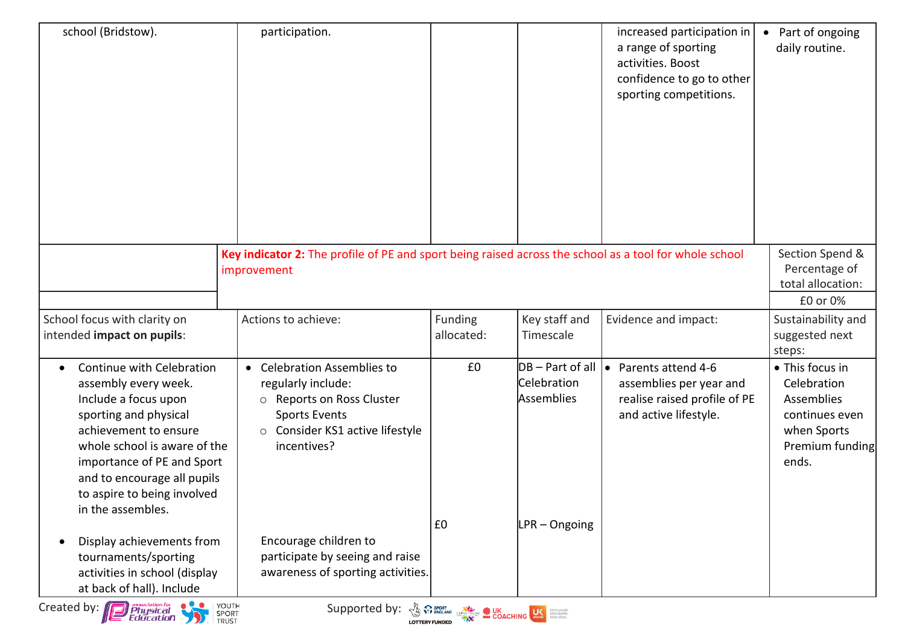| school (Bridstow).                                                                                                                                                                                                                                                                        | participation.                                                                                                                                                    |                       |                                                            | increased participation in<br>a range of sporting<br>activities. Boost<br>confidence to go to other<br>sporting competitions. | Part of ongoing<br>$\bullet$<br>daily routine.                                                            |
|-------------------------------------------------------------------------------------------------------------------------------------------------------------------------------------------------------------------------------------------------------------------------------------------|-------------------------------------------------------------------------------------------------------------------------------------------------------------------|-----------------------|------------------------------------------------------------|-------------------------------------------------------------------------------------------------------------------------------|-----------------------------------------------------------------------------------------------------------|
|                                                                                                                                                                                                                                                                                           | Key indicator 2: The profile of PE and sport being raised across the school as a tool for whole school<br>improvement                                             |                       |                                                            |                                                                                                                               | Section Spend &<br>Percentage of<br>total allocation:<br>£0 or 0%                                         |
| School focus with clarity on<br>intended impact on pupils:                                                                                                                                                                                                                                | Actions to achieve:                                                                                                                                               | Funding<br>allocated: | Key staff and<br>Timescale                                 | Evidence and impact:                                                                                                          | Sustainability and<br>suggested next<br>steps:                                                            |
| Continue with Celebration<br>$\bullet$<br>assembly every week.<br>Include a focus upon<br>sporting and physical<br>achievement to ensure<br>whole school is aware of the<br>importance of PE and Sport<br>and to encourage all pupils<br>to aspire to being involved<br>in the assembles. | • Celebration Assemblies to<br>regularly include:<br>o Reports on Ross Cluster<br><b>Sports Events</b><br>Consider KS1 active lifestyle<br>$\circ$<br>incentives? | £0                    | $DB - Part of all \, \bullet$<br>Celebration<br>Assemblies | Parents attend 4-6<br>assemblies per year and<br>realise raised profile of PE<br>and active lifestyle.                        | • This focus in<br>Celebration<br>Assemblies<br>continues even<br>when Sports<br>Premium funding<br>ends. |
| Display achievements from<br>tournaments/sporting<br>activities in school (display<br>at back of hall). Include                                                                                                                                                                           | Encourage children to<br>participate by seeing and raise<br>awareness of sporting activities.                                                                     | E0                    | LPR - Ongoing                                              |                                                                                                                               |                                                                                                           |
| YOUTH<br>Created by: <b>Physical</b><br>Education<br><b>A SPORT CONCRETE DUK</b><br>COACHING SERVICES COACHING SERVICES CORPORATION OF THE COACHING SERVICE SERVICES<br>Supported by:<br>SPORT<br>TRUST                                                                                   |                                                                                                                                                                   |                       |                                                            |                                                                                                                               |                                                                                                           |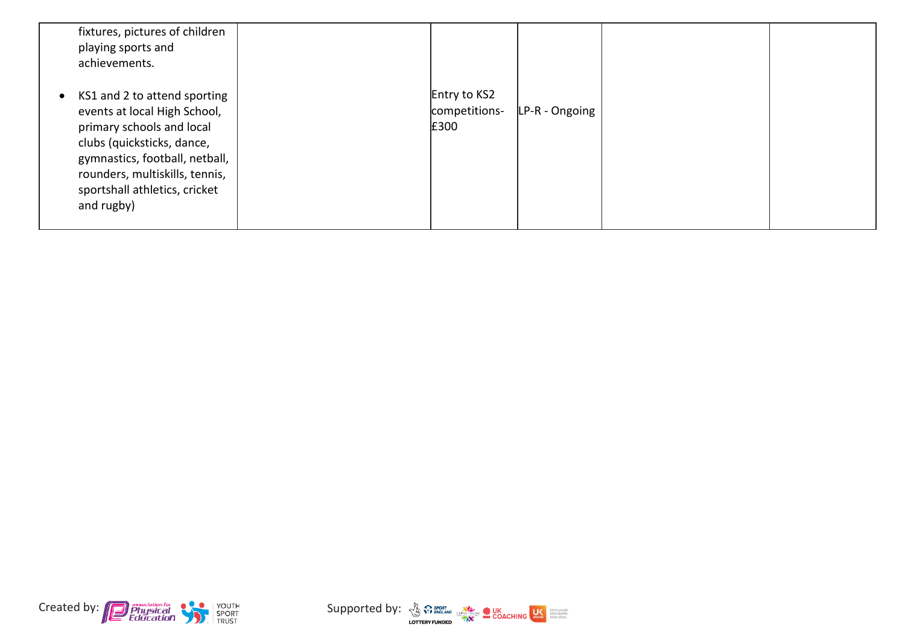| fixtures, pictures of children<br>playing sports and<br>achievements.                                                                                                                                                                        |                                       |                |  |
|----------------------------------------------------------------------------------------------------------------------------------------------------------------------------------------------------------------------------------------------|---------------------------------------|----------------|--|
| • KS1 and 2 to attend sporting<br>events at local High School,<br>primary schools and local<br>clubs (quicksticks, dance,<br>gymnastics, football, netball,<br>rounders, multiskills, tennis,<br>sportshall athletics, cricket<br>and rugby) | Entry to KS2<br>competitions-<br>£300 | LP-R - Ongoing |  |



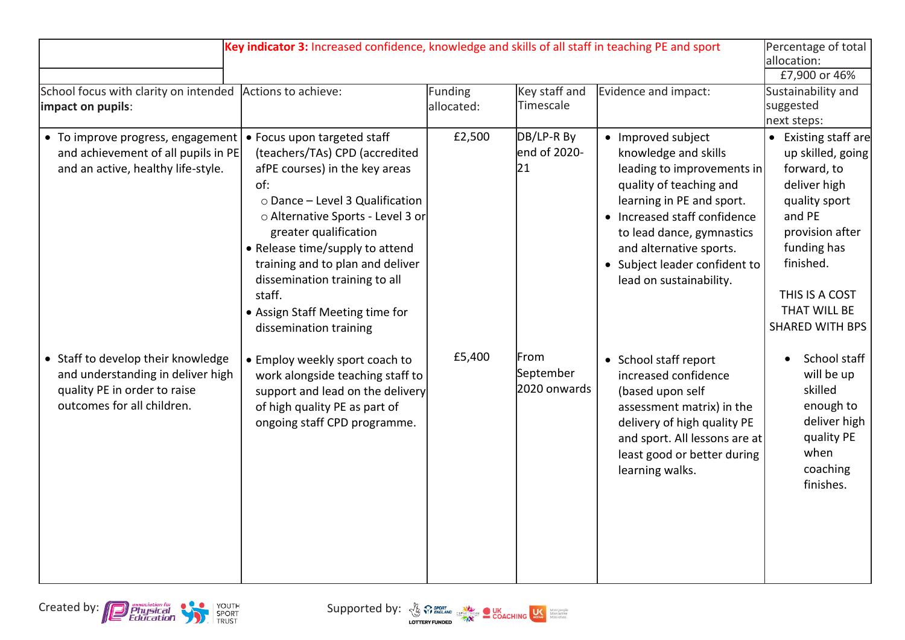| School focus with clarity on intended<br>impact on pupils:                                                                            | Key indicator 3: Increased confidence, knowledge and skills of all staff in teaching PE and sport<br>Actions to achieve:                                                                                                                                                                                                                                                               | Funding<br>allocated: | Key staff and<br>Timescale        | Evidence and impact:                                                                                                                                                                                                                                                                 | Percentage of total<br>allocation:<br>£7,900 or 46%<br>Sustainability and<br>suggested                                                                                                                                        |
|---------------------------------------------------------------------------------------------------------------------------------------|----------------------------------------------------------------------------------------------------------------------------------------------------------------------------------------------------------------------------------------------------------------------------------------------------------------------------------------------------------------------------------------|-----------------------|-----------------------------------|--------------------------------------------------------------------------------------------------------------------------------------------------------------------------------------------------------------------------------------------------------------------------------------|-------------------------------------------------------------------------------------------------------------------------------------------------------------------------------------------------------------------------------|
| • To improve progress, engagement<br>and achievement of all pupils in PE<br>and an active, healthy life-style.                        | • Focus upon targeted staff<br>(teachers/TAs) CPD (accredited<br>afPE courses) in the key areas<br>of:<br>o Dance - Level 3 Qualification<br>o Alternative Sports - Level 3 or<br>greater qualification<br>• Release time/supply to attend<br>training and to plan and deliver<br>dissemination training to all<br>staff.<br>• Assign Staff Meeting time for<br>dissemination training | £2,500                | DB/LP-R By<br>end of 2020-<br>21  | • Improved subject<br>knowledge and skills<br>leading to improvements in<br>quality of teaching and<br>learning in PE and sport.<br>• Increased staff confidence<br>to lead dance, gymnastics<br>and alternative sports.<br>• Subject leader confident to<br>lead on sustainability. | next steps:<br>• Existing staff are<br>up skilled, going<br>forward, to<br>deliver high<br>quality sport<br>and PE<br>provision after<br>funding has<br>finished.<br>THIS IS A COST<br>THAT WILL BE<br><b>SHARED WITH BPS</b> |
| • Staff to develop their knowledge<br>and understanding in deliver high<br>quality PE in order to raise<br>outcomes for all children. | • Employ weekly sport coach to<br>work alongside teaching staff to<br>support and lead on the delivery<br>of high quality PE as part of<br>ongoing staff CPD programme.                                                                                                                                                                                                                | £5,400                | From<br>September<br>2020 onwards | • School staff report<br>increased confidence<br>(based upon self<br>assessment matrix) in the<br>delivery of high quality PE<br>and sport. All lessons are at<br>least good or better during<br>learning walks.                                                                     | School staff<br>will be up<br>skilled<br>enough to<br>deliver high<br>quality PE<br>when<br>coaching<br>finishes.                                                                                                             |

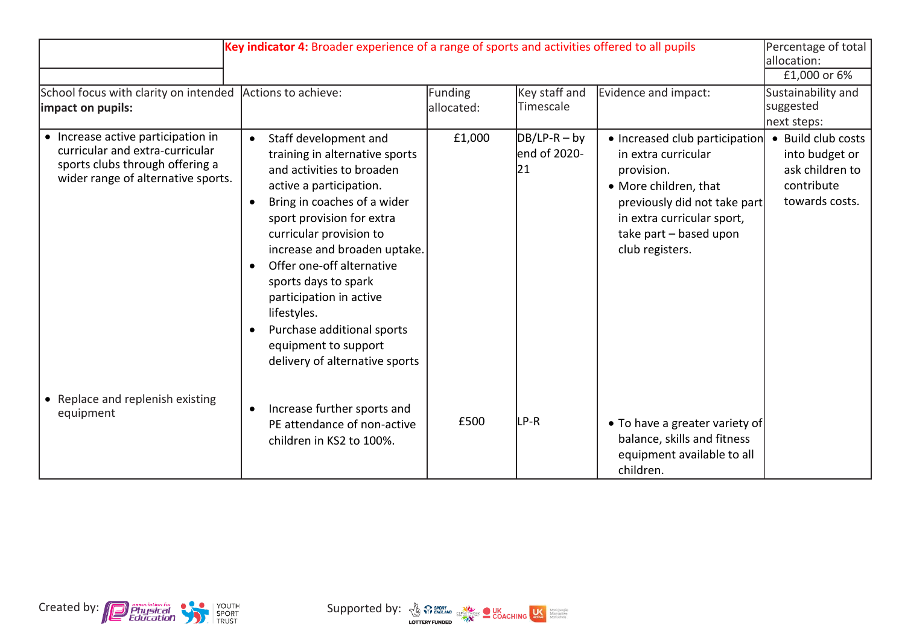| Key indicator 4: Broader experience of a range of sports and activities offered to all pupils                                                  |                                                                                                                                                                                                                                                                                                                                                                                                                                            |                       |                                       |                                                                                                                                                                                                         | Percentage of total<br>lallocation:<br>£1,000 or 6%                                     |
|------------------------------------------------------------------------------------------------------------------------------------------------|--------------------------------------------------------------------------------------------------------------------------------------------------------------------------------------------------------------------------------------------------------------------------------------------------------------------------------------------------------------------------------------------------------------------------------------------|-----------------------|---------------------------------------|---------------------------------------------------------------------------------------------------------------------------------------------------------------------------------------------------------|-----------------------------------------------------------------------------------------|
| School focus with clarity on intended<br>limpact on pupils:                                                                                    | Actions to achieve:                                                                                                                                                                                                                                                                                                                                                                                                                        | Funding<br>allocated: | Key staff and<br>Timescale            | Evidence and impact:                                                                                                                                                                                    | Sustainability and<br>suggested<br>next steps:                                          |
| • Increase active participation in<br>curricular and extra-curricular<br>sports clubs through offering a<br>wider range of alternative sports. | Staff development and<br>$\bullet$<br>training in alternative sports<br>and activities to broaden<br>active a participation.<br>Bring in coaches of a wider<br>sport provision for extra<br>curricular provision to<br>increase and broaden uptake.<br>Offer one-off alternative<br>sports days to spark<br>participation in active<br>lifestyles.<br>Purchase additional sports<br>equipment to support<br>delivery of alternative sports | £1,000                | $DB/LP-R - by$<br>lend of 2020-<br>21 | • Increased club participation<br>in extra curricular<br>provision.<br>• More children, that<br>previously did not take part<br>in extra curricular sport,<br>take part - based upon<br>club registers. | • Build club costs<br>into budget or<br>ask children to<br>contribute<br>towards costs. |
| • Replace and replenish existing<br>equipment                                                                                                  | Increase further sports and<br>$\bullet$<br>PE attendance of non-active<br>children in KS2 to 100%.                                                                                                                                                                                                                                                                                                                                        | £500                  | LP-R                                  | • To have a greater variety of<br>balance, skills and fitness<br>equipment available to all<br>children.                                                                                                |                                                                                         |